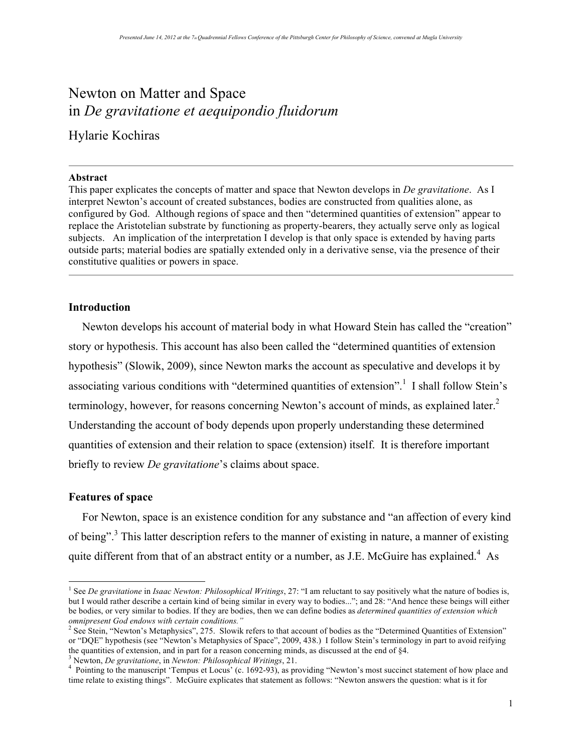# Newton on Matter and Space in *De gravitatione et aequipondio fluidorum*

# Hylarie Kochiras

#### **Abstract**

This paper explicates the concepts of matter and space that Newton develops in *De gravitatione*. As I interpret Newton's account of created substances, bodies are constructed from qualities alone, as configured by God. Although regions of space and then "determined quantities of extension" appear to replace the Aristotelian substrate by functioning as property-bearers, they actually serve only as logical subjects. An implication of the interpretation I develop is that only space is extended by having parts outside parts; material bodies are spatially extended only in a derivative sense, via the presence of their constitutive qualities or powers in space.

## **Introduction**

Newton develops his account of material body in what Howard Stein has called the "creation" story or hypothesis. This account has also been called the "determined quantities of extension hypothesis" (Slowik, 2009), since Newton marks the account as speculative and develops it by associating various conditions with "determined quantities of extension".<sup>1</sup> I shall follow Stein's terminology, however, for reasons concerning Newton's account of minds, as explained later. $2$ Understanding the account of body depends upon properly understanding these determined quantities of extension and their relation to space (extension) itself. It is therefore important briefly to review *De gravitatione*'s claims about space.

#### **Features of space**

For Newton, space is an existence condition for any substance and "an affection of every kind of being".<sup>3</sup> This latter description refers to the manner of existing in nature, a manner of existing quite different from that of an abstract entity or a number, as J.E. McGuire has explained.<sup>4</sup> As

<sup>|&</sup>lt;br>|<br>| <sup>1</sup> See *De gravitatione* in *Isaac Newton: Philosophical Writings*, 27: "I am reluctant to say positively what the nature of bodies is, but I would rather describe a certain kind of being similar in every way to bodies..."; and 28: "And hence these beings will either be bodies, or very similar to bodies. If they are bodies, then we can define bodies as *determined quantities of extension which* 

omnipresent God endows with certain conditions."<br><sup>2</sup> See Stein, "Newton's Metaphysics", 275. Slowik refers to that account of bodies as the "Determined Quantities of Extension" or "DQE" hypothesis (see "Newton's Metaphysics of Space", 2009, 438.) I follow Stein's terminology in part to avoid reifying the quantities of extension, and in part for a reason concerning minds, as discussed at the end of §4.<br><sup>3</sup> Newton, *De gravitatione*, in *Newton: Philosophical Writings*, 21.<br><sup>4</sup> Pointing to the manuscript 'Tempus et Locu

time relate to existing things". McGuire explicates that statement as follows: "Newton answers the question: what is it for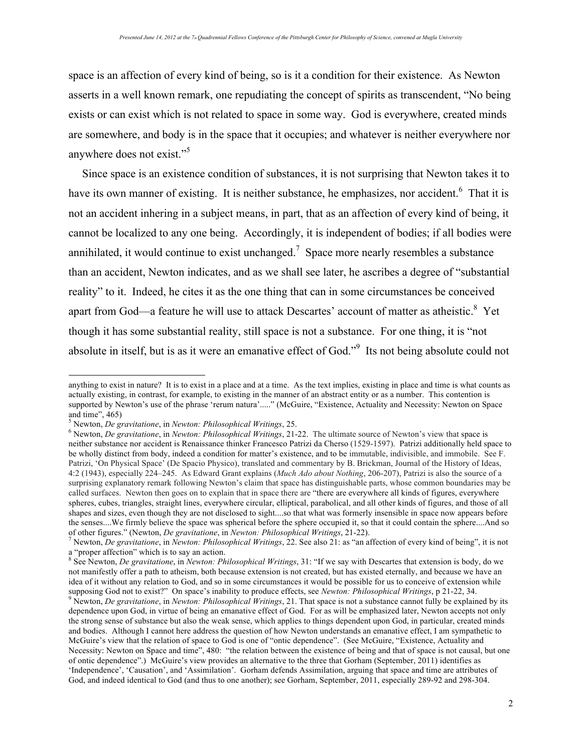space is an affection of every kind of being, so is it a condition for their existence. As Newton asserts in a well known remark, one repudiating the concept of spirits as transcendent, "No being exists or can exist which is not related to space in some way. God is everywhere, created minds are somewhere, and body is in the space that it occupies; and whatever is neither everywhere nor anywhere does not exist."<sup>5</sup>

Since space is an existence condition of substances, it is not surprising that Newton takes it to have its own manner of existing. It is neither substance, he emphasizes, nor accident.<sup>6</sup> That it is not an accident inhering in a subject means, in part, that as an affection of every kind of being, it cannot be localized to any one being. Accordingly, it is independent of bodies; if all bodies were annihilated, it would continue to exist unchanged.<sup>7</sup> Space more nearly resembles a substance than an accident, Newton indicates, and as we shall see later, he ascribes a degree of "substantial reality" to it. Indeed, he cites it as the one thing that can in some circumstances be conceived apart from God—a feature he will use to attack Descartes' account of matter as atheistic.<sup>8</sup> Yet though it has some substantial reality, still space is not a substance. For one thing, it is "not absolute in itself, but is as it were an emanative effect of God."<sup>9</sup> Its not being absolute could not

 $\overline{a}$ 

anything to exist in nature? It is to exist in a place and at a time. As the text implies, existing in place and time is what counts as actually existing, in contrast, for example, to existing in the manner of an abstract entity or as a number. This contention is supported by Newton's use of the phrase 'rerum natura'....." (McGuire, "Existence, Actuality and Necessity: Newton on Space and time", 465)

<sup>&</sup>lt;sup>5</sup> Newton, *De gravitatione*, in *Newton: Philosophical Writings*, 25.<br><sup>6</sup> Newton, *De gravitatione*, in *Newton: Philosophical Writings*, 21-22. The ultimate source of Newton's view that space is neither substance nor accident is Renaissance thinker Francesco Patrizi da Cherso (1529-1597). Patrizi additionally held space to be wholly distinct from body, indeed a condition for matter's existence, and to be immutable, indivisible, and immobile. See F. Patrizi, 'On Physical Space' (De Spacio Physico), translated and commentary by B. Brickman, Journal of the History of Ideas, 4:2 (1943), especially 224–245. As Edward Grant explains (*Much Ado about Nothing*, 206-207), Patrizi is also the source of a surprising explanatory remark following Newton's claim that space has distinguishable parts, whose common boundaries may be called surfaces. Newton then goes on to explain that in space there are "there are everywhere all kinds of figures, everywhere spheres, cubes, triangles, straight lines, everywhere circular, elliptical, parabolical, and all other kinds of figures, and those of all shapes and sizes, even though they are not disclosed to sight....so that what was formerly insensible in space now appears before the senses....We firmly believe the space was spherical before the sphere occupied it, so that it could contain the sphere....And so of other figures." (Newton, *De gravitatione*, in *Newton: Philosophical Writings*, 21-22

<sup>&</sup>lt;sup>7</sup> Newton, *De gravitatione*, in Newton: Philosophical Writings, 22. See also 21: as "an affection of every kind of being", it is not a "proper affection" which is to say an action.

<sup>8</sup> See Newton, *De gravitatione*, in *Newton: Philosophical Writings*, 31: "If we say with Descartes that extension is body, do we not manifestly offer a path to atheism, both because extension is not created, but has existed eternally, and because we have an idea of it without any relation to God, and so in some circumstances it would be possible for us to conceive of extension while supposing God not to exist?" On space's inability to produce effects, see *Newton: Philosophic* 

<sup>&</sup>lt;sup>9</sup> Newton, *De gravitatione*, in Newton: Philosophical Writings, 21. That space is not a substance cannot fully be explained by its dependence upon God, in virtue of being an emanative effect of God. For as will be emphasized later, Newton accepts not only the strong sense of substance but also the weak sense, which applies to things dependent upon God, in particular, created minds and bodies. Although I cannot here address the question of how Newton understands an emanative effect, I am sympathetic to McGuire's view that the relation of space to God is one of "ontic dependence". (See McGuire, "Existence, Actuality and Necessity: Newton on Space and time", 480: "the relation between the existence of being and that of space is not causal, but one of ontic dependence".) McGuire's view provides an alternative to the three that Gorham (September, 2011) identifies as 'Independence', 'Causation', and 'Assimilation'. Gorham defends Assimilation, arguing that space and time are attributes of God, and indeed identical to God (and thus to one another); see Gorham, September, 2011, especially 289-92 and 298-304.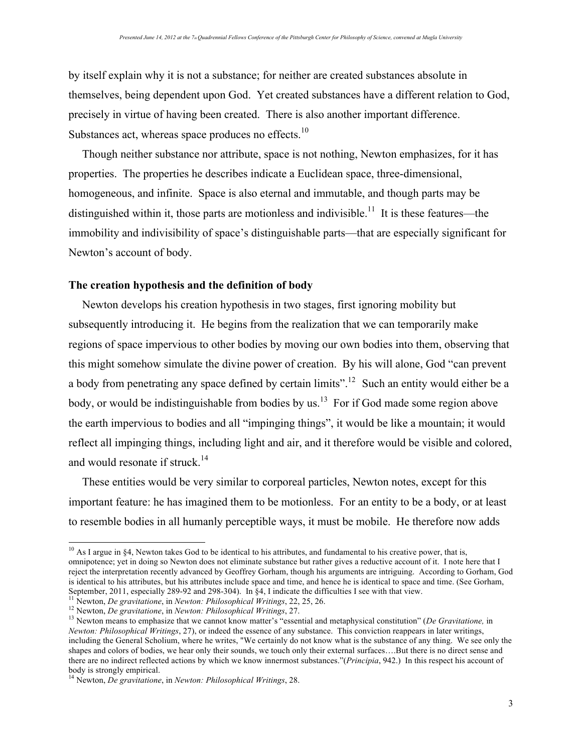by itself explain why it is not a substance; for neither are created substances absolute in themselves, being dependent upon God. Yet created substances have a different relation to God, precisely in virtue of having been created. There is also another important difference. Substances act, whereas space produces no effects.<sup>10</sup>

Though neither substance nor attribute, space is not nothing, Newton emphasizes, for it has properties. The properties he describes indicate a Euclidean space, three-dimensional, homogeneous, and infinite. Space is also eternal and immutable, and though parts may be distinguished within it, those parts are motionless and indivisible.<sup>11</sup> It is these features—the immobility and indivisibility of space's distinguishable parts—that are especially significant for Newton's account of body.

## **The creation hypothesis and the definition of body**

Newton develops his creation hypothesis in two stages, first ignoring mobility but subsequently introducing it. He begins from the realization that we can temporarily make regions of space impervious to other bodies by moving our own bodies into them, observing that this might somehow simulate the divine power of creation. By his will alone, God "can prevent a body from penetrating any space defined by certain limits".<sup>12</sup> Such an entity would either be a body, or would be indistinguishable from bodies by us.<sup>13</sup> For if God made some region above the earth impervious to bodies and all "impinging things", it would be like a mountain; it would reflect all impinging things, including light and air, and it therefore would be visible and colored, and would resonate if struck.<sup>14</sup>

These entities would be very similar to corporeal particles, Newton notes, except for this important feature: he has imagined them to be motionless. For an entity to be a body, or at least to resemble bodies in all humanly perceptible ways, it must be mobile. He therefore now adds

 $10$  As I argue in §4, Newton takes God to be identical to his attributes, and fundamental to his creative power, that is, omnipotence; yet in doing so Newton does not eliminate substance but rather gives a reductive account of it. I note here that I reject the interpretation recently advanced by Geoffrey Gorham, though his arguments are intriguing. According to Gorham, God is identical to his attributes, but his attributes include space and time, and hence he is identical to space and time. (See Gorham, September, 2011, especially 289-92 and 298-304). In §4, I indicate the difficulties I see

<sup>&</sup>lt;sup>11</sup> Newton, *De gravitatione*, in *Newton: Philosophical Writings*, 22, 25, 26.<br><sup>12</sup> Newton, *De gravitatione*, in *Newton: Philosophical Writings*, 27.<br><sup>13</sup> Newton means to emphasize that we cannot know matter's "essent *Newton: Philosophical Writings*, 27), or indeed the essence of any substance. This conviction reappears in later writings, including the General Scholium, where he writes, "We certainly do not know what is the substance of any thing. We see only the shapes and colors of bodies, we hear only their sounds, we touch only their external surfaces….But there is no direct sense and there are no indirect reflected actions by which we know innermost substances."(*Principia*, 942.) In this respect his account of body is strongly empirical. 14 Newton, *De gravitatione*, in *Newton: Philosophical Writings*, 28.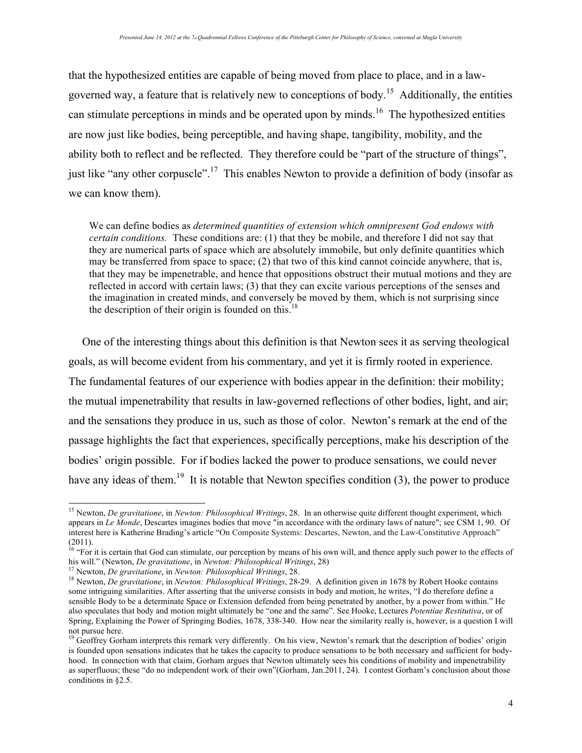that the hypothesized entities are capable of being moved from place to place, and in a lawgoverned way, a feature that is relatively new to conceptions of body.15 Additionally, the entities can stimulate perceptions in minds and be operated upon by minds.<sup>16</sup> The hypothesized entities are now just like bodies, being perceptible, and having shape, tangibility, mobility, and the ability both to reflect and be reflected. They therefore could be "part of the structure of things", just like "any other corpuscle".<sup>17</sup> This enables Newton to provide a definition of body (insofar as we can know them).

We can define bodies as *determined quantities of extension which omnipresent God endows with certain conditions.* These conditions are: (1) that they be mobile, and therefore I did not say that they are numerical parts of space which are absolutely immobile, but only definite quantities which may be transferred from space to space; (2) that two of this kind cannot coincide anywhere, that is, that they may be impenetrable, and hence that oppositions obstruct their mutual motions and they are reflected in accord with certain laws; (3) that they can excite various perceptions of the senses and the imagination in created minds, and conversely be moved by them, which is not surprising since the description of their origin is founded on this.<sup>18</sup>

One of the interesting things about this definition is that Newton sees it as serving theological goals, as will become evident from his commentary, and yet it is firmly rooted in experience. The fundamental features of our experience with bodies appear in the definition: their mobility; the mutual impenetrability that results in law-governed reflections of other bodies, light, and air; and the sensations they produce in us, such as those of color. Newton's remark at the end of the passage highlights the fact that experiences, specifically perceptions, make his description of the bodies' origin possible. For if bodies lacked the power to produce sensations, we could never have any ideas of them.<sup>19</sup> It is notable that Newton specifies condition  $(3)$ , the power to produce

 <sup>15</sup> Newton, *De gravitatione*, in *Newton: Philosophical Writings*, 28. In an otherwise quite different thought experiment, which appears in *Le Monde*, Descartes imagines bodies that move "in accordance with the ordinary laws of nature"; see CSM 1, 90. Of interest here is Katherine Brading's article "On Composite Systems: Descartes, Newton, and the Law-Constitutive Approach" (2011).

<sup>&</sup>lt;sup>16</sup> "For it is certain that God can stimulate, our perception by means of his own will, and thence apply such power to the effects of

his will." (Newton, *De gravitatione*, in *Newton: Philosophical Writings*, 28)<br><sup>17</sup> Newton, *De gravitatione*, in *Newton: Philosophical Writings*, 28.<br><sup>18</sup> Newton, *De gravitatione*, in *Newton: Philosophical Writings*, some intriguing similarities. After asserting that the universe consists in body and motion, he writes, "I do therefore define a sensible Body to be a determinate Space or Extension defended from being penetrated by another, by a power from within." He also speculates that body and motion might ultimately be "one and the same". See Hooke, Lectures *Potentiae Restitutiva*, or of Spring, Explaining the Power of Springing Bodies, 1678, 338-340. How near the similarity really is, however, is a question I will not pursue here.

<sup>&</sup>lt;sup>19</sup> Geoffrey Gorham interprets this remark very differently. On his view, Newton's remark that the description of bodies' origin is founded upon sensations indicates that he takes the capacity to produce sensations to be both necessary and sufficient for bodyhood. In connection with that claim, Gorham argues that Newton ultimately sees his conditions of mobility and impenetrability as superfluous; these "do no independent work of their own"(Gorham, Jan.2011, 24). I contest Gorham's conclusion about those conditions in §2.5.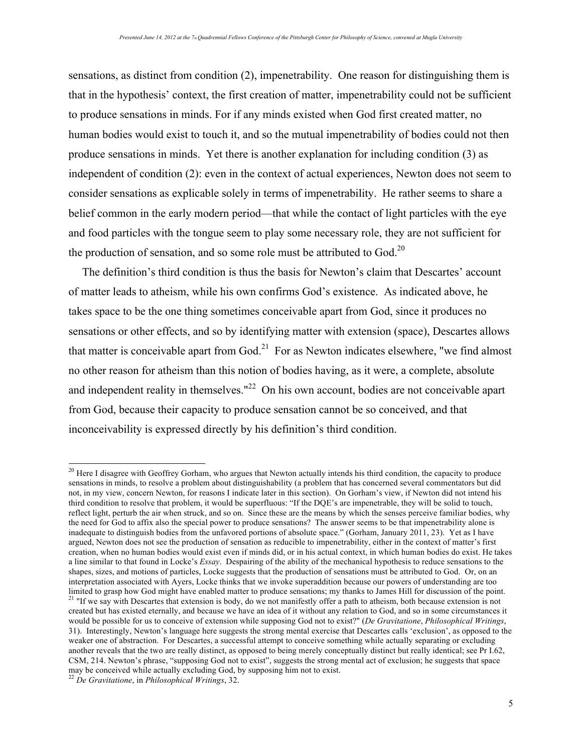sensations, as distinct from condition (2), impenetrability. One reason for distinguishing them is that in the hypothesis' context, the first creation of matter, impenetrability could not be sufficient to produce sensations in minds. For if any minds existed when God first created matter, no human bodies would exist to touch it, and so the mutual impenetrability of bodies could not then produce sensations in minds. Yet there is another explanation for including condition (3) as independent of condition (2): even in the context of actual experiences, Newton does not seem to consider sensations as explicable solely in terms of impenetrability. He rather seems to share a belief common in the early modern period—that while the contact of light particles with the eye and food particles with the tongue seem to play some necessary role, they are not sufficient for the production of sensation, and so some role must be attributed to God.<sup>20</sup>

The definition's third condition is thus the basis for Newton's claim that Descartes' account of matter leads to atheism, while his own confirms God's existence. As indicated above, he takes space to be the one thing sometimes conceivable apart from God, since it produces no sensations or other effects, and so by identifying matter with extension (space), Descartes allows that matter is conceivable apart from  $God.^{21}$  For as Newton indicates elsewhere, "we find almost no other reason for atheism than this notion of bodies having, as it were, a complete, absolute and independent reality in themselves."<sup>22</sup> On his own account, bodies are not conceivable apart from God, because their capacity to produce sensation cannot be so conceived, and that inconceivability is expressed directly by his definition's third condition.

<sup>&</sup>lt;sup>20</sup> Here I disagree with Geoffrey Gorham, who argues that Newton actually intends his third condition, the capacity to produce sensations in minds, to resolve a problem about distinguishability (a problem that has concerned several commentators but did not, in my view, concern Newton, for reasons I indicate later in this section). On Gorham's view, if Newton did not intend his third condition to resolve that problem, it would be superfluous: "If the DQE's are impenetrable, they will be solid to touch, reflect light, perturb the air when struck, and so on. Since these are the means by which the senses perceive familiar bodies, why the need for God to affix also the special power to produce sensations? The answer seems to be that impenetrability alone is inadequate to distinguish bodies from the unfavored portions of absolute space." (Gorham, January 2011, 23). Yet as I have argued, Newton does not see the production of sensation as reducible to impenetrability, either in the context of matter's first creation, when no human bodies would exist even if minds did, or in his actual context, in which human bodies do exist. He takes a line similar to that found in Locke's *Essay*. Despairing of the ability of the mechanical hypothesis to reduce sensations to the shapes, sizes, and motions of particles, Locke suggests that the production of sensations must be attributed to God. Or, on an interpretation associated with Ayers, Locke thinks that we invoke superaddition because our powers of understanding are too limited to grasp how God might have enabled matter to produce sensations; my thanks to James Hill for discussion of the point. <sup>21</sup> "If we say with Descartes that extension is body, do we not manifestly offer a path to atheism, both because extension is not created but has existed eternally, and because we have an idea of it without any relation to God, and so in some circumstances it would be possible for us to conceive of extension while supposing God not to exist?" (*De Gravitatione*, *Philosophical Writings*, 31). Interestingly, Newton's language here suggests the strong mental exercise that Descartes calls 'exclusion', as opposed to the weaker one of abstraction. For Descartes, a successful attempt to conceive something while actually separating or excluding another reveals that the two are really distinct, as opposed to being merely conceptually distinct but really identical; see Pr I.62, CSM, 214. Newton's phrase, "supposing God not to exist", suggests the strong mental act of exclusion; he suggests that space may be conceived while actually excluding God, by supposing him not to exist. <sup>22</sup> *De Gravitatione*, in *Philosophical Writings*, 32.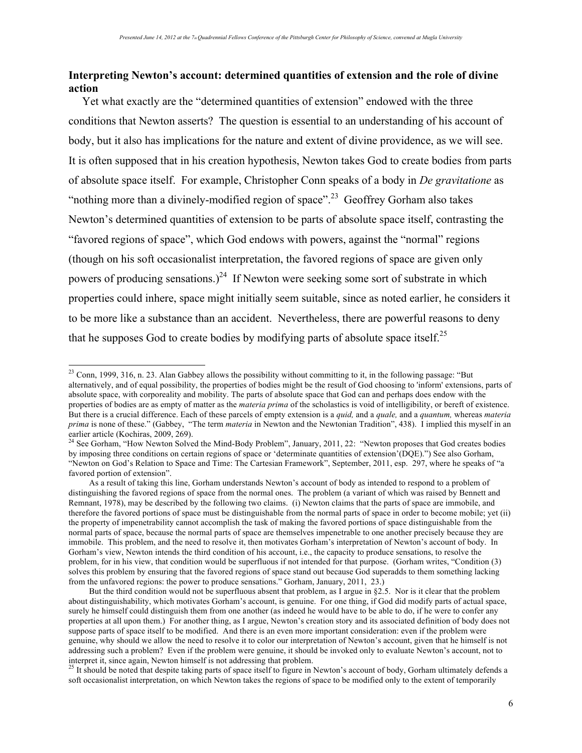# **Interpreting Newton's account: determined quantities of extension and the role of divine action**

Yet what exactly are the "determined quantities of extension" endowed with the three conditions that Newton asserts? The question is essential to an understanding of his account of body, but it also has implications for the nature and extent of divine providence, as we will see. It is often supposed that in his creation hypothesis, Newton takes God to create bodies from parts of absolute space itself. For example, Christopher Conn speaks of a body in *De gravitatione* as "nothing more than a divinely-modified region of space".<sup>23</sup> Geoffrey Gorham also takes Newton's determined quantities of extension to be parts of absolute space itself, contrasting the "favored regions of space", which God endows with powers, against the "normal" regions (though on his soft occasionalist interpretation, the favored regions of space are given only powers of producing sensations.)<sup>24</sup> If Newton were seeking some sort of substrate in which properties could inhere, space might initially seem suitable, since as noted earlier, he considers it to be more like a substance than an accident. Nevertheless, there are powerful reasons to deny that he supposes God to create bodies by modifying parts of absolute space itself.<sup>25</sup>

<sup>&</sup>lt;sup>23</sup> Conn, 1999, 316, n. 23. Alan Gabbey allows the possibility without committing to it, in the following passage: "But alternatively, and of equal possibility, the properties of bodies might be the result of God choosing to 'inform' extensions, parts of absolute space, with corporeality and mobility. The parts of absolute space that God can and perhaps does endow with the properties of bodies are as empty of matter as the *materia prima* of the scholastics is void of intelligibility, or bereft of existence. But there is a crucial difference. Each of these parcels of empty extension is a *quid,* and a *quale,* and a *quantum,* whereas *materia prima* is none of these." (Gabbey, "The term *materia* in Newton and the Newtonian Tradition", 438). I implied this myself in an earlier article (Kochiras, 2009, 269).<br><sup>24</sup> See Gorham, "How Newton Solved the Mind-Body Problem", January, 2011, 22: "Newton proposes that God creates bodies

by imposing three conditions on certain regions of space or 'determinate quantities of extension'(DQE).") See also Gorham, "Newton on God's Relation to Space and Time: The Cartesian Framework", September, 2011, esp. 297, where he speaks of "a favored portion of extension".

As a result of taking this line, Gorham understands Newton's account of body as intended to respond to a problem of distinguishing the favored regions of space from the normal ones. The problem (a variant of which was raised by Bennett and Remnant, 1978), may be described by the following two claims. (i) Newton claims that the parts of space are immobile, and therefore the favored portions of space must be distinguishable from the normal parts of space in order to become mobile; yet (ii) the property of impenetrability cannot accomplish the task of making the favored portions of space distinguishable from the normal parts of space, because the normal parts of space are themselves impenetrable to one another precisely because they are immobile. This problem, and the need to resolve it, then motivates Gorham's interpretation of Newton's account of body. In Gorham's view, Newton intends the third condition of his account, i.e., the capacity to produce sensations, to resolve the problem, for in his view, that condition would be superfluous if not intended for that purpose. (Gorham writes, "Condition (3) solves this problem by ensuring that the favored regions of space stand out because God superadds to them something lacking from the unfavored regions: the power to produce sensations." Gorham, January, 2011, 23.)

But the third condition would not be superfluous absent that problem, as I argue in §2.5. Nor is it clear that the problem about distinguishability, which motivates Gorham's account, is genuine. For one thing, if God did modify parts of actual space, surely he himself could distinguish them from one another (as indeed he would have to be able to do, if he were to confer any properties at all upon them.) For another thing, as I argue, Newton's creation story and its associated definition of body does not suppose parts of space itself to be modified. And there is an even more important consideration: even if the problem were genuine, why should we allow the need to resolve it to color our interpretation of Newton's account, given that he himself is not addressing such a problem? Even if the problem were genuine, it should be invoked only to evaluate Newton's account, not to interpret it, since again, Newton himself is not addressing that problem.

 $^{25}$  It should be noted that despite taking parts of space itself to figure in Newton's account of body, Gorham ultimately defends a soft occasionalist interpretation, on which Newton takes the regions of space to be modified only to the extent of temporarily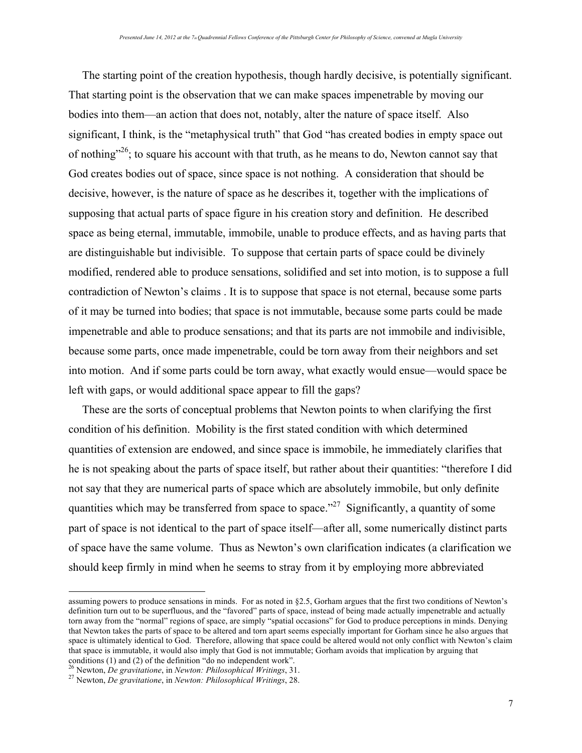The starting point of the creation hypothesis, though hardly decisive, is potentially significant. That starting point is the observation that we can make spaces impenetrable by moving our bodies into them—an action that does not, notably, alter the nature of space itself. Also significant, I think, is the "metaphysical truth" that God "has created bodies in empty space out of nothing"<sup>26</sup>; to square his account with that truth, as he means to do, Newton cannot say that God creates bodies out of space, since space is not nothing. A consideration that should be decisive, however, is the nature of space as he describes it, together with the implications of supposing that actual parts of space figure in his creation story and definition. He described space as being eternal, immutable, immobile, unable to produce effects, and as having parts that are distinguishable but indivisible. To suppose that certain parts of space could be divinely modified, rendered able to produce sensations, solidified and set into motion, is to suppose a full contradiction of Newton's claims . It is to suppose that space is not eternal, because some parts of it may be turned into bodies; that space is not immutable, because some parts could be made impenetrable and able to produce sensations; and that its parts are not immobile and indivisible, because some parts, once made impenetrable, could be torn away from their neighbors and set into motion. And if some parts could be torn away, what exactly would ensue—would space be left with gaps, or would additional space appear to fill the gaps?

These are the sorts of conceptual problems that Newton points to when clarifying the first condition of his definition. Mobility is the first stated condition with which determined quantities of extension are endowed, and since space is immobile, he immediately clarifies that he is not speaking about the parts of space itself, but rather about their quantities: "therefore I did not say that they are numerical parts of space which are absolutely immobile, but only definite quantities which may be transferred from space to space."<sup>27</sup> Significantly, a quantity of some part of space is not identical to the part of space itself—after all, some numerically distinct parts of space have the same volume. Thus as Newton's own clarification indicates (a clarification we should keep firmly in mind when he seems to stray from it by employing more abbreviated

 $\overline{a}$ 

assuming powers to produce sensations in minds. For as noted in §2.5, Gorham argues that the first two conditions of Newton's definition turn out to be superfluous, and the "favored" parts of space, instead of being made actually impenetrable and actually torn away from the "normal" regions of space, are simply "spatial occasions" for God to produce perceptions in minds. Denying that Newton takes the parts of space to be altered and torn apart seems especially important for Gorham since he also argues that space is ultimately identical to God. Therefore, allowing that space could be altered would not only conflict with Newton's claim that space is immutable, it would also imply that God is not immutable; Gorham avoids that implication by arguing that conditions (1) and (2) of the definition "do no independent work".<br><sup>26</sup> Newton, *De gravitatione*, in *Newton: Philosophical Writings*, 31.

<sup>26</sup> Newton, *De gravitatione*, in *Newton: Philosophical Writings*, 31. 27 Newton, *De gravitatione*, in *Newton: Philosophical Writings*, 28.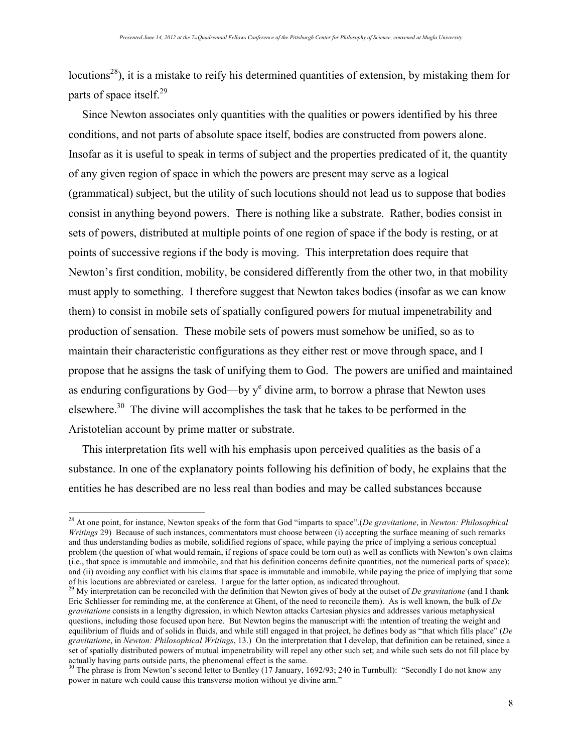locutions<sup>28</sup>), it is a mistake to reify his determined quantities of extension, by mistaking them for parts of space itself.<sup>29</sup>

Since Newton associates only quantities with the qualities or powers identified by his three conditions, and not parts of absolute space itself, bodies are constructed from powers alone. Insofar as it is useful to speak in terms of subject and the properties predicated of it, the quantity of any given region of space in which the powers are present may serve as a logical (grammatical) subject, but the utility of such locutions should not lead us to suppose that bodies consist in anything beyond powers. There is nothing like a substrate. Rather, bodies consist in sets of powers, distributed at multiple points of one region of space if the body is resting, or at points of successive regions if the body is moving. This interpretation does require that Newton's first condition, mobility, be considered differently from the other two, in that mobility must apply to something. I therefore suggest that Newton takes bodies (insofar as we can know them) to consist in mobile sets of spatially configured powers for mutual impenetrability and production of sensation. These mobile sets of powers must somehow be unified, so as to maintain their characteristic configurations as they either rest or move through space, and I propose that he assigns the task of unifying them to God. The powers are unified and maintained as enduring configurations by God—by  $y^e$  divine arm, to borrow a phrase that Newton uses elsewhere.30 The divine will accomplishes the task that he takes to be performed in the Aristotelian account by prime matter or substrate.

This interpretation fits well with his emphasis upon perceived qualities as the basis of a substance. In one of the explanatory points following his definition of body, he explains that the entities he has described are no less real than bodies and may be called substances bccause

 <sup>28</sup> At one point, for instance, Newton speaks of the form that God "imparts to space".(*De gravitatione*, in *Newton: Philosophical Writings* 29) Because of such instances, commentators must choose between (i) accepting the surface meaning of such remarks and thus understanding bodies as mobile, solidified regions of space, while paying the price of implying a serious conceptual problem (the question of what would remain, if regions of space could be torn out) as well as conflicts with Newton's own claims (i.e., that space is immutable and immobile, and that his definition concerns definite quantities, not the numerical parts of space); and (ii) avoiding any conflict with his claims that space is immutable and immobile, while paying the price of implying that some of his locutions are abbreviated or careless. I argue for the latter option, as indicated throughout.

<sup>&</sup>lt;sup>29</sup> My interpretation can be reconciled with the definition that Newton gives of body at the outset of *De gravitatione* (and I thank Eric Schliesser for reminding me, at the conference at Ghent, of the need to reconcile them). As is well known, the bulk of *De gravitatione* consists in a lengthy digression, in which Newton attacks Cartesian physics and addresses various metaphysical questions, including those focused upon here. But Newton begins the manuscript with the intention of treating the weight and equilibrium of fluids and of solids in fluids, and while still engaged in that project, he defines body as "that which fills place" (*De gravitatione*, in *Newton: Philosophical Writings*, 13.) On the interpretation that I develop, that definition can be retained, since a set of spatially distributed powers of mutual impenetrability will repel any other such set; and while such sets do not fill place by actually having parts outside parts, the phenomenal effect is the same.<br><sup>30</sup> The phrase is from Newton's second letter to Bentley (17 January, 1692/93; 240 in Turnbull): "Secondly I do not know any

power in nature wch could cause this transverse motion without ye divine arm."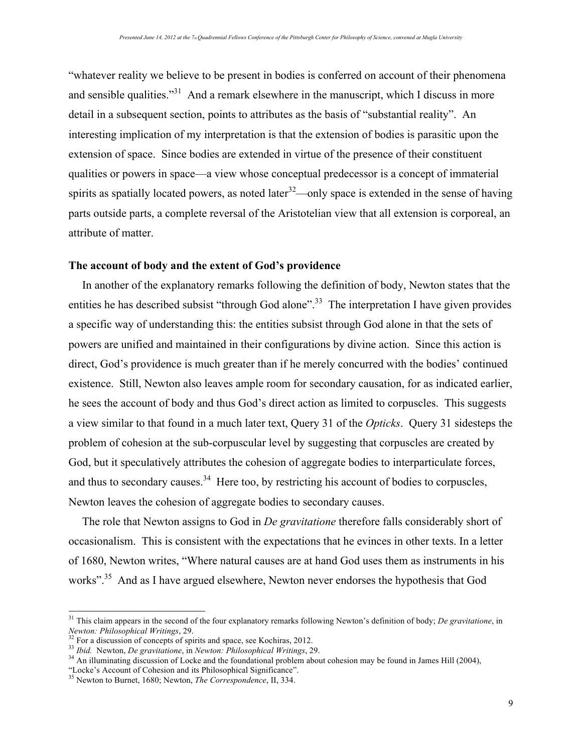"whatever reality we believe to be present in bodies is conferred on account of their phenomena and sensible qualities."<sup>31</sup> And a remark elsewhere in the manuscript, which I discuss in more detail in a subsequent section, points to attributes as the basis of "substantial reality". An interesting implication of my interpretation is that the extension of bodies is parasitic upon the extension of space. Since bodies are extended in virtue of the presence of their constituent qualities or powers in space—a view whose conceptual predecessor is a concept of immaterial spirits as spatially located powers, as noted later<sup>32</sup>—only space is extended in the sense of having parts outside parts, a complete reversal of the Aristotelian view that all extension is corporeal, an attribute of matter.

#### **The account of body and the extent of God's providence**

In another of the explanatory remarks following the definition of body, Newton states that the entities he has described subsist "through God alone".<sup>33</sup> The interpretation I have given provides a specific way of understanding this: the entities subsist through God alone in that the sets of powers are unified and maintained in their configurations by divine action. Since this action is direct, God's providence is much greater than if he merely concurred with the bodies' continued existence. Still, Newton also leaves ample room for secondary causation, for as indicated earlier, he sees the account of body and thus God's direct action as limited to corpuscles. This suggests a view similar to that found in a much later text, Query 31 of the *Opticks*. Query 31 sidesteps the problem of cohesion at the sub-corpuscular level by suggesting that corpuscles are created by God, but it speculatively attributes the cohesion of aggregate bodies to interparticulate forces, and thus to secondary causes.  $34$  Here too, by restricting his account of bodies to corpuscles, Newton leaves the cohesion of aggregate bodies to secondary causes.

The role that Newton assigns to God in *De gravitatione* therefore falls considerably short of occasionalism. This is consistent with the expectations that he evinces in other texts. In a letter of 1680, Newton writes, "Where natural causes are at hand God uses them as instruments in his works"<sup>35</sup> And as I have argued elsewhere, Newton never endorses the hypothesis that God

<sup>&</sup>lt;sup>31</sup> This claim appears in the second of the four explanatory remarks following Newton's definition of body; *De gravitatione*, in *Newton: Philosophical Writings*, 29.

<sup>&</sup>lt;sup>33</sup> For a discussion of concepts of spirits and space, see Kochiras, 2012.<br><sup>33</sup> Ibid. Newton, *De gravitatione*, in *Newton: Philosophical Writings*, 29.<br><sup>34</sup> An illuminating discussion of Locke and the foundational probl

<sup>&</sup>lt;sup>35</sup> Newton to Burnet, 1680; Newton, *The Correspondence*, II, 334.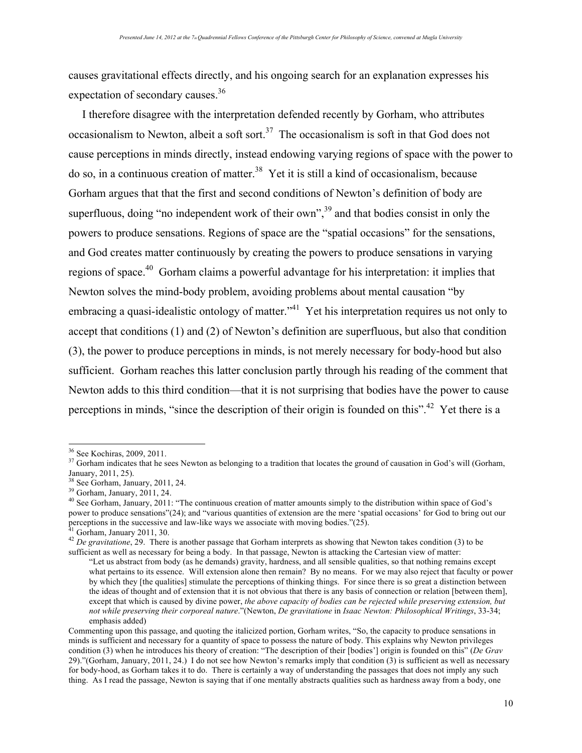causes gravitational effects directly, and his ongoing search for an explanation expresses his expectation of secondary causes.<sup>36</sup>

I therefore disagree with the interpretation defended recently by Gorham, who attributes occasionalism to Newton, albeit a soft sort.<sup>37</sup> The occasionalism is soft in that God does not cause perceptions in minds directly, instead endowing varying regions of space with the power to do so, in a continuous creation of matter.<sup>38</sup> Yet it is still a kind of occasionalism, because Gorham argues that that the first and second conditions of Newton's definition of body are superfluous, doing "no independent work of their own",  $39$  and that bodies consist in only the powers to produce sensations. Regions of space are the "spatial occasions" for the sensations, and God creates matter continuously by creating the powers to produce sensations in varying regions of space.40 Gorham claims a powerful advantage for his interpretation: it implies that Newton solves the mind-body problem, avoiding problems about mental causation "by embracing a quasi-idealistic ontology of matter.<sup>"41</sup> Yet his interpretation requires us not only to accept that conditions (1) and (2) of Newton's definition are superfluous, but also that condition (3), the power to produce perceptions in minds, is not merely necessary for body-hood but also sufficient. Gorham reaches this latter conclusion partly through his reading of the comment that Newton adds to this third condition—that it is not surprising that bodies have the power to cause perceptions in minds, "since the description of their origin is founded on this".<sup>42</sup> Yet there is a

<sup>&</sup>lt;sup>36</sup> See Kochiras, 2009, 2011.<br><sup>37</sup> Gorham indicates that he sees Newton as belonging to a tradition that locates the ground of causation in God's will (Gorham, January, 2011, 25).<br>January, 2011, 25.<br><sup>38</sup> See Gorbam, Janu

<sup>&</sup>lt;sup>38</sup> See Gorham, January, 2011, 24.<br><sup>39</sup> Gorham, January, 2011, 24.<br><sup>40</sup> See Gorham, January, 2011: "The continuous creation of matter amounts simply to the distribution within space of God's power to produce sensations"(24); and "various quantities of extension are the mere 'spatial occasions' for God to bring out our perceptions in the successive and law-like ways we associate with moving bodies."(25).

<sup>&</sup>lt;sup>41</sup> Gorham, January 2011, 30.<br><sup>42</sup> *De gravitatione*, 29. There is another passage that Gorham interprets as showing that Newton takes condition (3) to be sufficient as well as necessary for being a body. In that passage, Newton is attacking the Cartesian view of matter:

<sup>&</sup>quot;Let us abstract from body (as he demands) gravity, hardness, and all sensible qualities, so that nothing remains except what pertains to its essence. Will extension alone then remain? By no means. For we may also reject that faculty or power by which they [the qualities] stimulate the perceptions of thinking things. For since there is so great a distinction between the ideas of thought and of extension that it is not obvious that there is any basis of connection or relation [between them], except that which is caused by divine power, *the above capacity of bodies can be rejected while preserving extension, but not while preserving their corporeal nature*."(Newton, *De gravitatione* in *Isaac Newton: Philosophical Writings*, 33-34; emphasis added)

Commenting upon this passage, and quoting the italicized portion, Gorham writes, "So, the capacity to produce sensations in minds is sufficient and necessary for a quantity of space to possess the nature of body. This explains why Newton privileges condition (3) when he introduces his theory of creation: "The description of their [bodies'] origin is founded on this" (*De Grav* 29)."(Gorham, January, 2011, 24.) I do not see how Newton's remarks imply that condition (3) is sufficient as well as necessary for body-hood, as Gorham takes it to do. There is certainly a way of understanding the passages that does not imply any such thing. As I read the passage, Newton is saying that if one mentally abstracts qualities such as hardness away from a body, one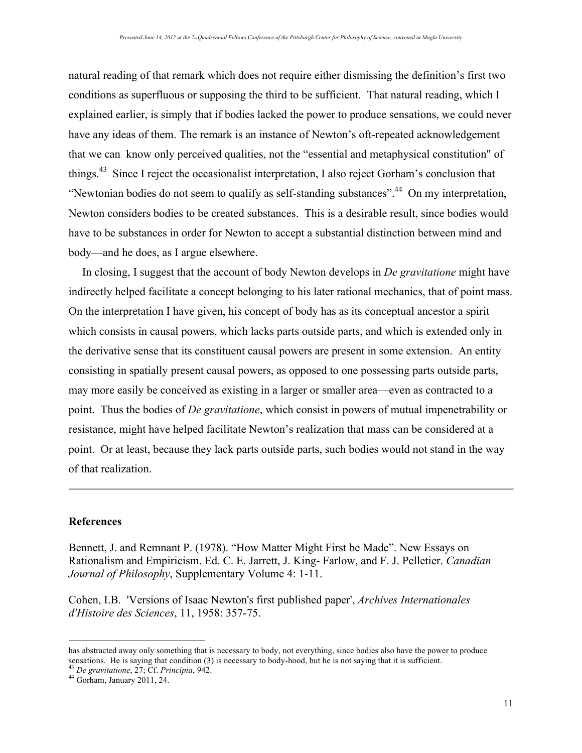natural reading of that remark which does not require either dismissing the definition's first two conditions as superfluous or supposing the third to be sufficient. That natural reading, which I explained earlier, is simply that if bodies lacked the power to produce sensations, we could never have any ideas of them. The remark is an instance of Newton's oft-repeated acknowledgement that we can know only perceived qualities, not the "essential and metaphysical constitution" of things.43 Since I reject the occasionalist interpretation, I also reject Gorham's conclusion that "Newtonian bodies do not seem to qualify as self-standing substances".<sup>44</sup> On my interpretation, Newton considers bodies to be created substances. This is a desirable result, since bodies would have to be substances in order for Newton to accept a substantial distinction between mind and body—and he does, as I argue elsewhere.

In closing, I suggest that the account of body Newton develops in *De gravitatione* might have indirectly helped facilitate a concept belonging to his later rational mechanics, that of point mass. On the interpretation I have given, his concept of body has as its conceptual ancestor a spirit which consists in causal powers, which lacks parts outside parts, and which is extended only in the derivative sense that its constituent causal powers are present in some extension. An entity consisting in spatially present causal powers, as opposed to one possessing parts outside parts, may more easily be conceived as existing in a larger or smaller area—even as contracted to a point. Thus the bodies of *De gravitatione*, which consist in powers of mutual impenetrability or resistance, might have helped facilitate Newton's realization that mass can be considered at a point. Or at least, because they lack parts outside parts, such bodies would not stand in the way of that realization.

## **References**

 $\overline{a}$ 

Bennett, J. and Remnant P. (1978). "How Matter Might First be Made". New Essays on Rationalism and Empiricism. Ed. C. E. Jarrett, J. King- Farlow, and F. J. Pelletier. *Canadian Journal of Philosophy*, Supplementary Volume 4: 1-11.

Cohen, I.B. 'Versions of Isaac Newton's first published paper', *Archives Internationales d'Histoire des Sciences*, 11, 1958: 357-75.

has abstracted away only something that is necessary to body, not everything, since bodies also have the power to produce sensations. He is saying that condition (3) is necessary to body-hood, but he is not saying that it is sufficient. 43 *De gravitatione*, 27; Cf. *Principia*, 942. 44 Gorham, January 2011, 24.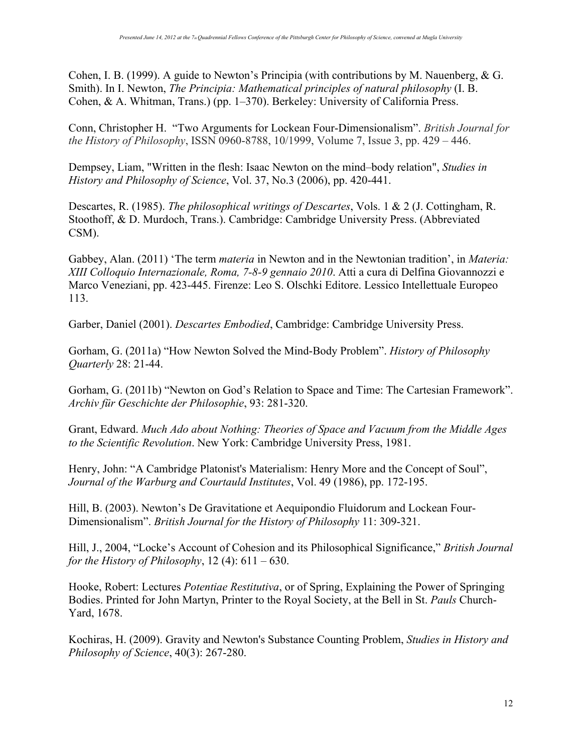Cohen, I. B. (1999). A guide to Newton's Principia (with contributions by M. Nauenberg, & G. Smith). In I. Newton, *The Principia: Mathematical principles of natural philosophy* (I. B. Cohen, & A. Whitman, Trans.) (pp. 1–370). Berkeley: University of California Press.

Conn, Christopher H. "Two Arguments for Lockean Four-Dimensionalism". *British Journal for the History of Philosophy*, ISSN 0960-8788, 10/1999, Volume 7, Issue 3, pp. 429 – 446.

Dempsey, Liam, "Written in the flesh: Isaac Newton on the mind–body relation", *Studies in History and Philosophy of Science*, Vol. 37, No.3 (2006), pp. 420-441.

Descartes, R. (1985). *The philosophical writings of Descartes*, Vols. 1 & 2 (J. Cottingham, R. Stoothoff, & D. Murdoch, Trans.). Cambridge: Cambridge University Press. (Abbreviated CSM).

Gabbey, Alan. (2011) 'The term *materia* in Newton and in the Newtonian tradition', in *Materia: XIII Colloquio Internazionale, Roma, 7-8-9 gennaio 2010*. Atti a cura di Delfina Giovannozzi e Marco Veneziani, pp. 423-445. Firenze: Leo S. Olschki Editore. Lessico Intellettuale Europeo 113.

Garber, Daniel (2001). *Descartes Embodied*, Cambridge: Cambridge University Press.

Gorham, G. (2011a) "How Newton Solved the Mind-Body Problem". *History of Philosophy Quarterly* 28: 21-44.

Gorham, G. (2011b) "Newton on God's Relation to Space and Time: The Cartesian Framework". *Archiv für Geschichte der Philosophie*, 93: 281-320.

Grant, Edward. *Much Ado about Nothing: Theories of Space and Vacuum from the Middle Ages to the Scientific Revolution*. New York: Cambridge University Press, 1981.

Henry, John: "A Cambridge Platonist's Materialism: Henry More and the Concept of Soul", *Journal of the Warburg and Courtauld Institutes*, Vol. 49 (1986), pp. 172-195.

Hill, B. (2003). Newton's De Gravitatione et Aequipondio Fluidorum and Lockean Four-Dimensionalism". *British Journal for the History of Philosophy* 11: 309-321.

Hill, J., 2004, "Locke's Account of Cohesion and its Philosophical Significance," *British Journal for the History of Philosophy*, 12 (4): 611 – 630.

Hooke, Robert: Lectures *Potentiae Restitutiva*, or of Spring, Explaining the Power of Springing Bodies. Printed for John Martyn, Printer to the Royal Society, at the Bell in St. *Pauls* Church-Yard, 1678.

Kochiras, H. (2009). Gravity and Newton's Substance Counting Problem, *Studies in History and Philosophy of Science*, 40(3): 267-280.